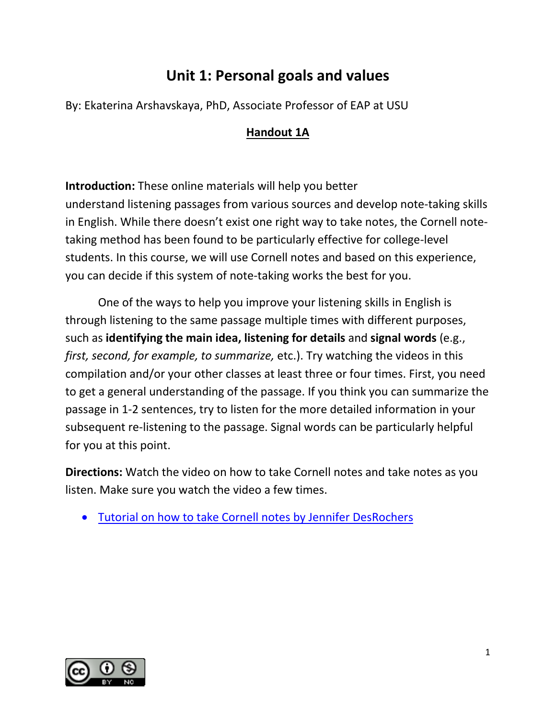## **Unit 1: Personal goals and values**

By: Ekaterina Arshavskaya, PhD, Associate Professor of EAP at USU

## **Handout 1A**

**Introduction:** These online materials will help you better understand listening passages from various sources and develop note-taking skills in English. While there doesn't exist one right way to take notes, the Cornell notetaking method has been found to be particularly effective for college-level students. In this course, we will use Cornell notes and based on this experience, you can decide if this system of note-taking works the best for you.

One of the ways to help you improve your listening skills in English is through listening to the same passage multiple times with different purposes, such as **identifying the main idea, listening for details** and **signal words** (e.g., *first, second, for example, to summarize,* etc.). Try watching the videos in this compilation and/or your other classes at least three or four times. First, you need to get a general understanding of the passage. If you think you can summarize the passage in 1-2 sentences, try to listen for the more detailed information in your subsequent re-listening to the passage. Signal words can be particularly helpful for you at this point.

**Directions:** Watch the video on how to take Cornell notes and take notes as you listen. Make sure you watch the video a few times.

• [Tutorial on how to take Cornell notes by Jennifer DesRochers](https://www.youtube.com/watch?v=WtW9IyE04OQ) 

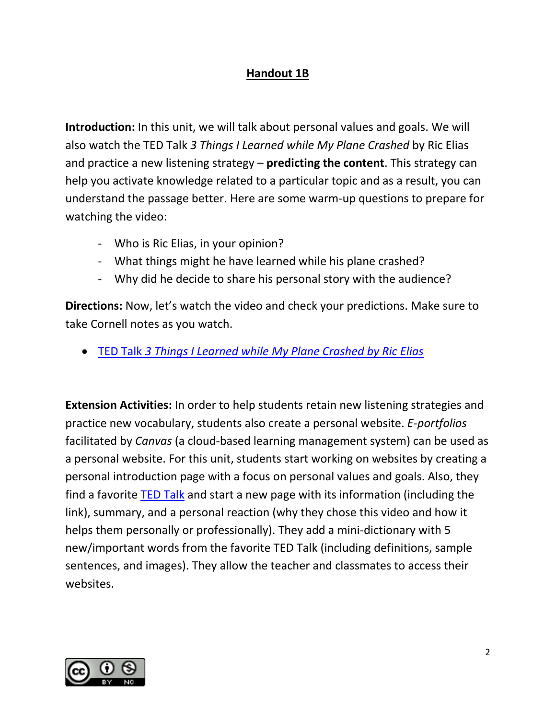## **Handout 1B**

**Introduction:** In this unit, we will talk about personal values and goals. We will also watch the TED Talk *3 Things I Learned while My Plane Crashed* by Ric Elias and practice a new listening strategy – **predicting the content**. This strategy can help you activate knowledge related to a particular topic and as a result, you can understand the passage better. Here are some warm-up questions to prepare for watching the video:

- Who is Ric Elias, in your opinion?
- What things might he have learned while his plane crashed?
- Why did he decide to share his personal story with the audience?

**Directions:** Now, let's watch the video and check your predictions. Make sure to take Cornell notes as you watch.

• TED Talk *[3 Things I Learned while My Plane Crashed by Ric Elias](https://www.ted.com/talks/ric_elias_3_things_i_learned_while_my_plane_crashed)*

**Extension Activities:** In order to help students retain new listening strategies and practice new vocabulary, students also create a personal website. *E-portfolios* facilitated by *Canvas* (a cloud-based learning management system) can be used as a personal website. For this unit, students start working on websites by creating a personal introduction page with a focus on personal values and goals. Also, they find a favorite [TED Talk](https://www.ted.com/talks) and start a new page with its information (including the link), summary, and a personal reaction (why they chose this video and how it helps them personally or professionally). They add a mini-dictionary with 5 new/important words from the favorite TED Talk (including definitions, sample sentences, and images). They allow the teacher and classmates to access their websites.